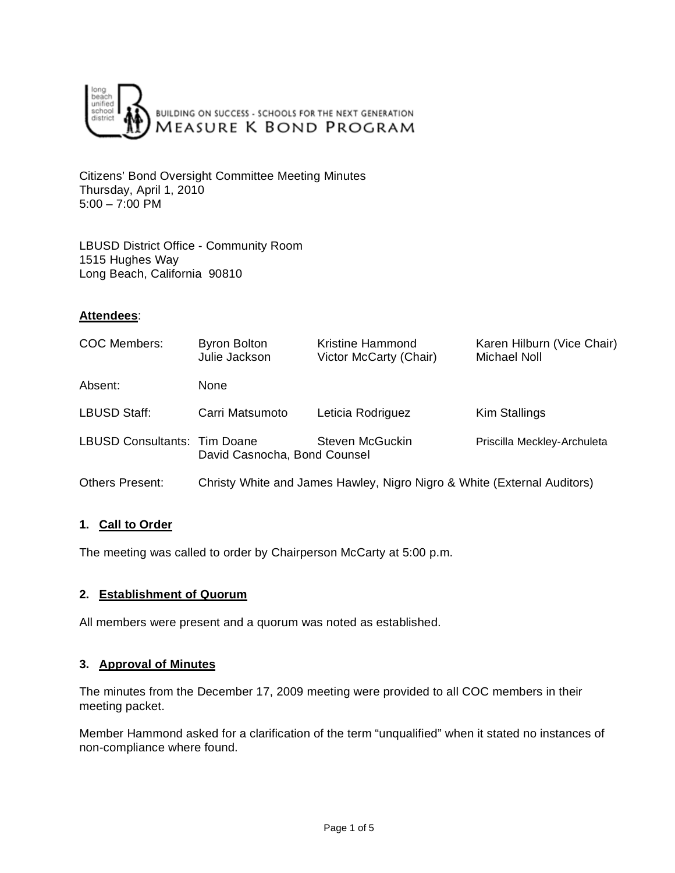

Citizens' Bond Oversight Committee Meeting Minutes Thursday, April 1, 2010 5:00 – 7:00 PM

LBUSD District Office - Community Room 1515 Hughes Way Long Beach, California 90810

### **Attendees**:

| <b>COC Members:</b>                 | <b>Byron Bolton</b><br>Julie Jackson                                    | Kristine Hammond<br>Victor McCarty (Chair) | Karen Hilburn (Vice Chair)<br>Michael Noll |
|-------------------------------------|-------------------------------------------------------------------------|--------------------------------------------|--------------------------------------------|
| Absent:                             | None                                                                    |                                            |                                            |
| LBUSD Staff:                        | Carri Matsumoto                                                         | Leticia Rodriguez                          | Kim Stallings                              |
| <b>LBUSD Consultants: Tim Doane</b> | David Casnocha, Bond Counsel                                            | Steven McGuckin                            | Priscilla Meckley-Archuleta                |
| <b>Others Present:</b>              | Christy White and James Hawley, Nigro Nigro & White (External Auditors) |                                            |                                            |

# **1. Call to Order**

The meeting was called to order by Chairperson McCarty at 5:00 p.m.

### **2. Establishment of Quorum**

All members were present and a quorum was noted as established.

# **3. Approval of Minutes**

The minutes from the December 17, 2009 meeting were provided to all COC members in their meeting packet.

Member Hammond asked for a clarification of the term "unqualified" when it stated no instances of non-compliance where found.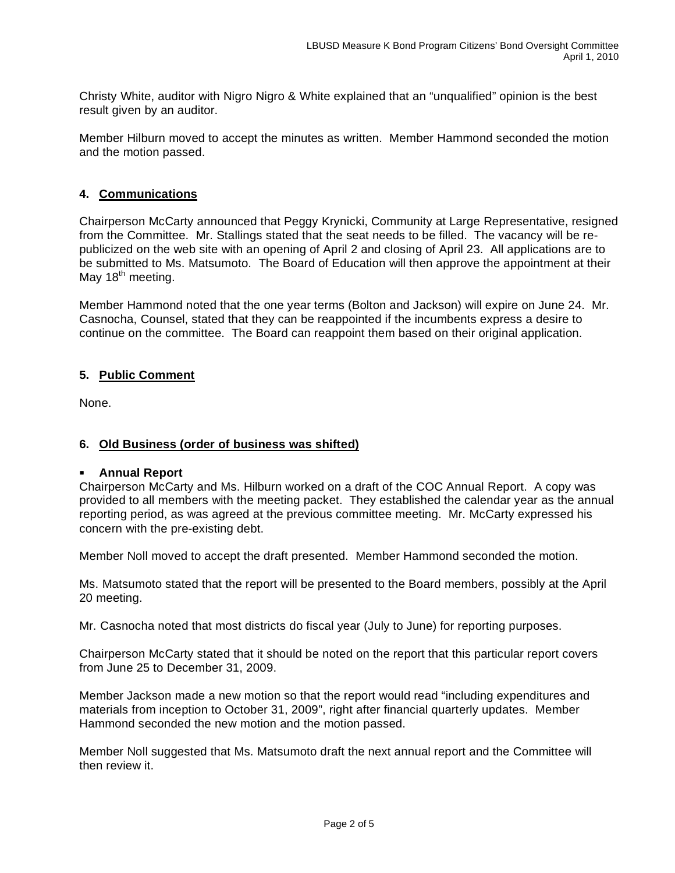Christy White, auditor with Nigro Nigro & White explained that an "unqualified" opinion is the best result given by an auditor.

Member Hilburn moved to accept the minutes as written. Member Hammond seconded the motion and the motion passed.

# **4. Communications**

Chairperson McCarty announced that Peggy Krynicki, Community at Large Representative, resigned from the Committee. Mr. Stallings stated that the seat needs to be filled. The vacancy will be republicized on the web site with an opening of April 2 and closing of April 23. All applications are to be submitted to Ms. Matsumoto. The Board of Education will then approve the appointment at their May 18<sup>th</sup> meeting.

Member Hammond noted that the one year terms (Bolton and Jackson) will expire on June 24. Mr. Casnocha, Counsel, stated that they can be reappointed if the incumbents express a desire to continue on the committee. The Board can reappoint them based on their original application.

### **5. Public Comment**

None.

# **6. Old Business (order of business was shifted)**

### **Annual Report**

Chairperson McCarty and Ms. Hilburn worked on a draft of the COC Annual Report. A copy was provided to all members with the meeting packet. They established the calendar year as the annual reporting period, as was agreed at the previous committee meeting. Mr. McCarty expressed his concern with the pre-existing debt.

Member Noll moved to accept the draft presented. Member Hammond seconded the motion.

Ms. Matsumoto stated that the report will be presented to the Board members, possibly at the April 20 meeting.

Mr. Casnocha noted that most districts do fiscal year (July to June) for reporting purposes.

Chairperson McCarty stated that it should be noted on the report that this particular report covers from June 25 to December 31, 2009.

Member Jackson made a new motion so that the report would read "including expenditures and materials from inception to October 31, 2009", right after financial quarterly updates. Member Hammond seconded the new motion and the motion passed.

Member Noll suggested that Ms. Matsumoto draft the next annual report and the Committee will then review it.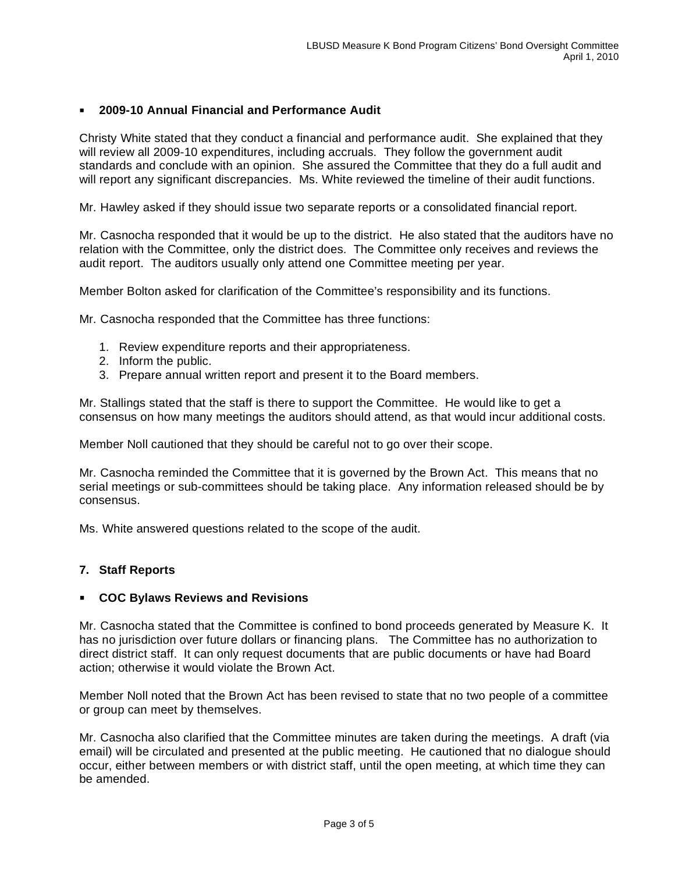# **2009-10 Annual Financial and Performance Audit**

Christy White stated that they conduct a financial and performance audit. She explained that they will review all 2009-10 expenditures, including accruals. They follow the government audit standards and conclude with an opinion. She assured the Committee that they do a full audit and will report any significant discrepancies. Ms. White reviewed the timeline of their audit functions.

Mr. Hawley asked if they should issue two separate reports or a consolidated financial report.

Mr. Casnocha responded that it would be up to the district. He also stated that the auditors have no relation with the Committee, only the district does. The Committee only receives and reviews the audit report. The auditors usually only attend one Committee meeting per year.

Member Bolton asked for clarification of the Committee's responsibility and its functions.

Mr. Casnocha responded that the Committee has three functions:

- 1. Review expenditure reports and their appropriateness.
- 2. Inform the public.
- 3. Prepare annual written report and present it to the Board members.

Mr. Stallings stated that the staff is there to support the Committee. He would like to get a consensus on how many meetings the auditors should attend, as that would incur additional costs.

Member Noll cautioned that they should be careful not to go over their scope.

Mr. Casnocha reminded the Committee that it is governed by the Brown Act. This means that no serial meetings or sub-committees should be taking place. Any information released should be by consensus.

Ms. White answered questions related to the scope of the audit.

### **7. Staff Reports**

#### **COC Bylaws Reviews and Revisions**

Mr. Casnocha stated that the Committee is confined to bond proceeds generated by Measure K. It has no jurisdiction over future dollars or financing plans. The Committee has no authorization to direct district staff. It can only request documents that are public documents or have had Board action; otherwise it would violate the Brown Act.

Member Noll noted that the Brown Act has been revised to state that no two people of a committee or group can meet by themselves.

Mr. Casnocha also clarified that the Committee minutes are taken during the meetings. A draft (via email) will be circulated and presented at the public meeting. He cautioned that no dialogue should occur, either between members or with district staff, until the open meeting, at which time they can be amended.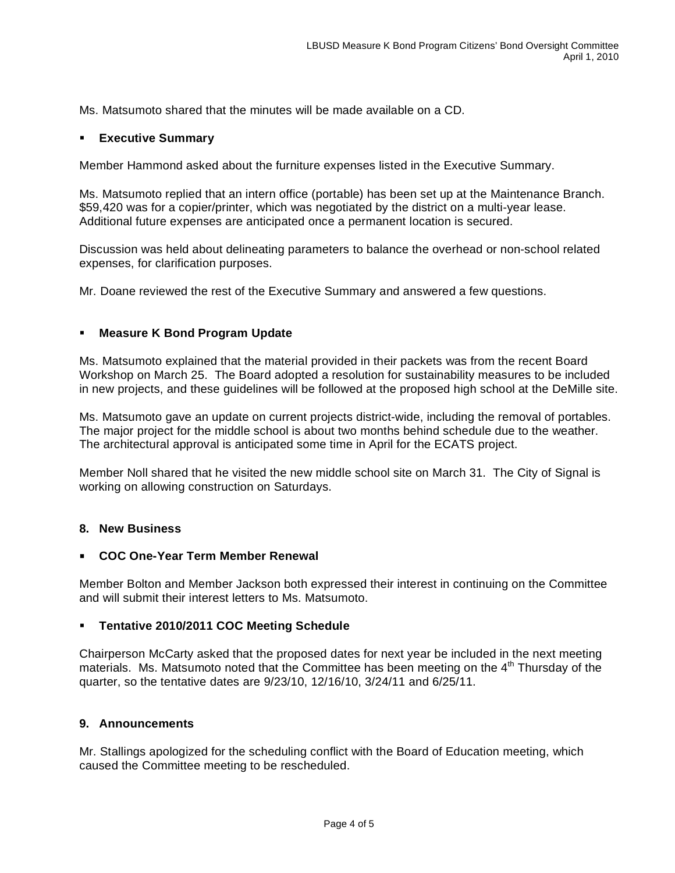Ms. Matsumoto shared that the minutes will be made available on a CD.

### **Executive Summary**

Member Hammond asked about the furniture expenses listed in the Executive Summary.

Ms. Matsumoto replied that an intern office (portable) has been set up at the Maintenance Branch. \$59,420 was for a copier/printer, which was negotiated by the district on a multi-year lease. Additional future expenses are anticipated once a permanent location is secured.

Discussion was held about delineating parameters to balance the overhead or non-school related expenses, for clarification purposes.

Mr. Doane reviewed the rest of the Executive Summary and answered a few questions.

### **Measure K Bond Program Update**

Ms. Matsumoto explained that the material provided in their packets was from the recent Board Workshop on March 25. The Board adopted a resolution for sustainability measures to be included in new projects, and these guidelines will be followed at the proposed high school at the DeMille site.

Ms. Matsumoto gave an update on current projects district-wide, including the removal of portables. The major project for the middle school is about two months behind schedule due to the weather. The architectural approval is anticipated some time in April for the ECATS project.

Member Noll shared that he visited the new middle school site on March 31. The City of Signal is working on allowing construction on Saturdays.

### **8. New Business**

### **COC One-Year Term Member Renewal**

Member Bolton and Member Jackson both expressed their interest in continuing on the Committee and will submit their interest letters to Ms. Matsumoto.

### **Tentative 2010/2011 COC Meeting Schedule**

Chairperson McCarty asked that the proposed dates for next year be included in the next meeting materials. Ms. Matsumoto noted that the Committee has been meeting on the  $4<sup>th</sup>$  Thursday of the quarter, so the tentative dates are 9/23/10, 12/16/10, 3/24/11 and 6/25/11.

### **9. Announcements**

Mr. Stallings apologized for the scheduling conflict with the Board of Education meeting, which caused the Committee meeting to be rescheduled.